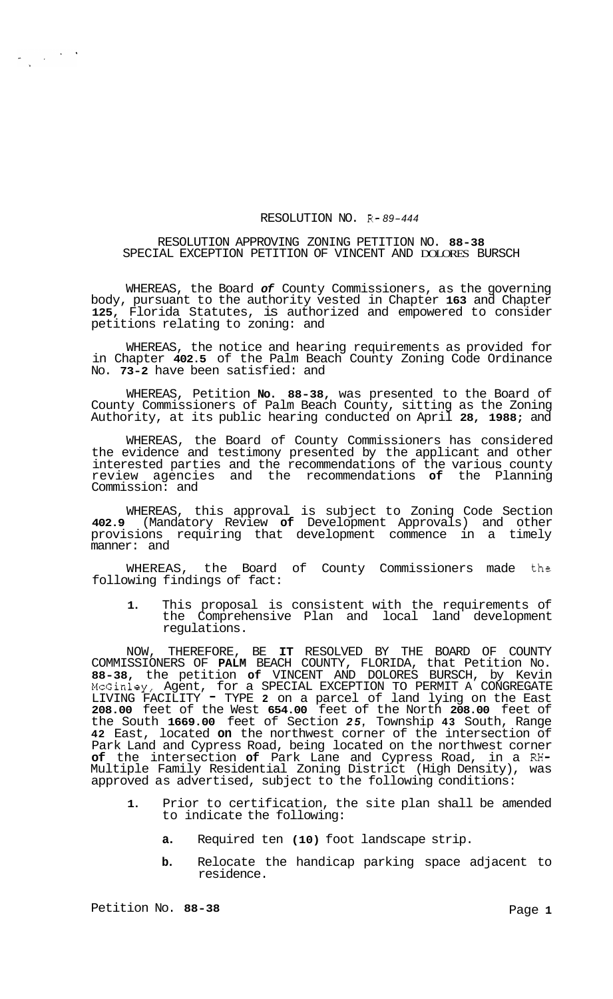## RESOLUTION NO. R- *89-444*

## RESOLUTION APPROVING ZONING PETITION NO. **88-38**  SPECIAL EXCEPTION PETITION OF VINCENT AND DOLORES BURSCH

WHEREAS, the Board *of* County Commissioners, as the governing body, pursuant to the authority vested in Chapter **163** and Chapter **125,** Florida Statutes, is authorized and empowered to consider petitions relating to zoning: and

WHEREAS, the notice and hearing requirements as provided for in Chapter **402.5** of the Palm Beach County Zoning Code Ordinance No. **73-2** have been satisfied: and

WHEREAS, Petition **No. 88-38,** was presented to the Board of County Commissioners of Palm Beach County, sitting as the Zoning Authority, at its public hearing conducted on April **28, 1988;** and

WHEREAS, the Board of County Commissioners has considered the evidence and testimony presented by the applicant and other interested parties and the recommendations of the various county review agencies and the recommendations **of** the Planning Commission: and

WHEREAS, this approval is subject to Zoning Code Section **402.9** (Mandatory Review **of** Development Approvals) and other provisions requiring that development commence in a timely manner: and

WHEREAS, the Board of County Commissioners made the following findings of fact:

**1.** This proposal is consistent with the requirements of the Comprehensive Plan and local land development regulations.

NOW, THEREFORE, BE **IT** RESOLVED BY THE BOARD OF COUNTY COMMISSIONERS OF **PALM** BEACH COUNTY, FLORIDA, that Petition No. **88-38,** the petition **of** VINCENT AND DOLORES BURSCH, by Kevin McGinley, Agent, for a SPECIAL EXCEPTION TO PERMIT A CONGREGATE LIVING FACILITY - TYPE **2** on a parcel of land lying on the East **208.00** feet of the West **654.00** feet of the North **208.00** feet of the South **1669.00** feet of Section *25,* Township **43** South, Range **42** East, located **on** the northwest corner of the intersection of Park Land and Cypress Road, being located on the northwest corner **of** the intersection **of** Park Lane and Cypress Road, in a **RH-**Multiple Family Residential Zoning District (High Density), was approved as advertised, subject to the following conditions:

- **1.** Prior to certification, the site plan shall be amended to indicate the following:
	- **a.** Required ten **(10)** foot landscape strip.
	- **b.** Relocate the handicap parking space adjacent to residence.

 $\frac{1}{\sqrt{2}}\left(1-\frac{1}{2}\right) \left(1-\frac{1}{2}\right)$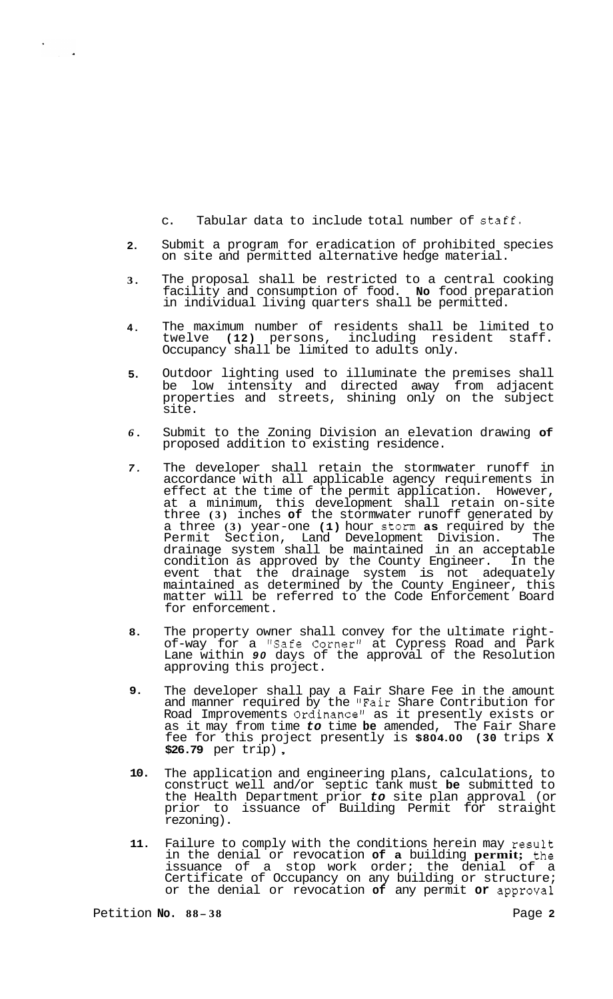c. Tabular data to include total number of Staff.

- **2.**  Submit a program for eradication of prohibited species on site and permitted alternative hedge material.
- **3.**  The proposal shall be restricted to a central cooking facility and consumption of food. **No** food preparation in individual living quarters shall be permitted.
- **4.**  The maximum number of residents shall be limited to twelve **(12)** persons, including resident staff. Occupancy shall be limited to adults only.
- **5.**  Outdoor lighting used to illuminate the premises shall be low intensity and directed away from adjacent properties and streets, shining only on the subject site.
- *6.*  Submit to the Zoning Division an elevation drawing **of**  proposed addition to existing residence.
- *7.*  The developer shall retain the stormwater runoff in accordance with all applicable agency requirements in effect at the time of the permit application. However, at a minimum, this development shall retain on-site three **(3)** inches **of** the stormwater runoff generated by a three **(3)** year-one **(1)** hour storm **as** required by the Permit Section, Land Development Division. The drainage system shall be maintained in an acceptable condition as approved by the County Engineer. In the event that the drainage system is not adequately maintained as determined by the County Engineer, this matter will be referred to the Code Enforcement Board for enforcement.
- **8.**  The property owner shall convey for the ultimate right- of-way for a "Safe Corner" at Cypress Road and Park Lane within *90* days of the approval of the Resolution approving this project.
- **9.**  The developer shall pay a Fair Share Fee in the amount and manner required by the "Fair Share Contribution for Road Improvements Ordinance" as it presently exists or as it may from time *to* time **be** amended, The Fair Share fee for this project presently is **\$804.00 (30** trips **X \$26.79** per trip) ,
- **10.**  The application and engineering plans, calculations, to construct well and/or septic tank must **be** submitted to the Health Department prior *to* site plan approval (or prior to issuance of Building Permit for straight rezoning).
- **11.**  Failure to comply with the conditions herein may result in the denial or revocation **of a** building **permit;** the issuance of a stop work order; the denial of a Certificate of Occupancy on any building or structure; or the denial or revocation **of** any permit **or** approval